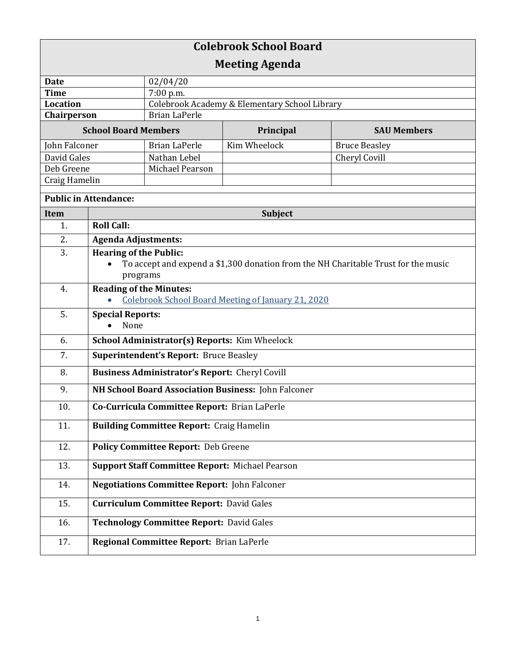| <b>Colebrook School Board</b> |                                                        |                                               |              |                                                                                    |  |
|-------------------------------|--------------------------------------------------------|-----------------------------------------------|--------------|------------------------------------------------------------------------------------|--|
| <b>Meeting Agenda</b>         |                                                        |                                               |              |                                                                                    |  |
| <b>Date</b>                   |                                                        | 02/04/20                                      |              |                                                                                    |  |
| <b>Time</b>                   |                                                        | 7:00 p.m.                                     |              |                                                                                    |  |
| <b>Location</b>               |                                                        | Colebrook Academy & Elementary School Library |              |                                                                                    |  |
| Chairperson                   |                                                        | <b>Brian LaPerle</b>                          |              |                                                                                    |  |
| <b>School Board Members</b>   |                                                        |                                               | Principal    | <b>SAU Members</b>                                                                 |  |
| John Falconer                 |                                                        | <b>Brian LaPerle</b>                          | Kim Wheelock | <b>Bruce Beasley</b>                                                               |  |
| David Gales                   |                                                        | Nathan Lebel                                  |              | Cheryl Covill                                                                      |  |
| Deb Greene                    |                                                        | Michael Pearson                               |              |                                                                                    |  |
| Craig Hamelin                 |                                                        |                                               |              |                                                                                    |  |
| <b>Public in Attendance:</b>  |                                                        |                                               |              |                                                                                    |  |
| <b>Item</b>                   | <b>Subject</b>                                         |                                               |              |                                                                                    |  |
| 1.                            | <b>Roll Call:</b>                                      |                                               |              |                                                                                    |  |
| 2.                            | <b>Agenda Adjustments:</b>                             |                                               |              |                                                                                    |  |
| 3.                            | <b>Hearing of the Public:</b>                          |                                               |              |                                                                                    |  |
|                               |                                                        |                                               |              | To accept and expend a \$1,300 donation from the NH Charitable Trust for the music |  |
|                               | programs                                               |                                               |              |                                                                                    |  |
| 4.                            | <b>Reading of the Minutes:</b>                         |                                               |              |                                                                                    |  |
|                               | Colebrook School Board Meeting of January 21, 2020     |                                               |              |                                                                                    |  |
| 5.                            | <b>Special Reports:</b>                                |                                               |              |                                                                                    |  |
|                               | None                                                   |                                               |              |                                                                                    |  |
| 6.                            | School Administrator(s) Reports: Kim Wheelock          |                                               |              |                                                                                    |  |
| 7.                            | <b>Superintendent's Report: Bruce Beasley</b>          |                                               |              |                                                                                    |  |
| 8.                            | <b>Business Administrator's Report: Cheryl Covill</b>  |                                               |              |                                                                                    |  |
| 9.                            | NH School Board Association Business: John Falconer    |                                               |              |                                                                                    |  |
| 10.                           | Co-Curricula Committee Report: Brian LaPerle           |                                               |              |                                                                                    |  |
| 11.                           | <b>Building Committee Report: Craig Hamelin</b>        |                                               |              |                                                                                    |  |
| 12.                           | Policy Committee Report: Deb Greene                    |                                               |              |                                                                                    |  |
| 13.                           | <b>Support Staff Committee Report: Michael Pearson</b> |                                               |              |                                                                                    |  |
| 14.                           | <b>Negotiations Committee Report: John Falconer</b>    |                                               |              |                                                                                    |  |
| 15.                           | <b>Curriculum Committee Report: David Gales</b>        |                                               |              |                                                                                    |  |
| 16.                           | <b>Technology Committee Report: David Gales</b>        |                                               |              |                                                                                    |  |
| 17.                           |                                                        | Regional Committee Report: Brian LaPerle      |              |                                                                                    |  |
|                               |                                                        |                                               |              |                                                                                    |  |